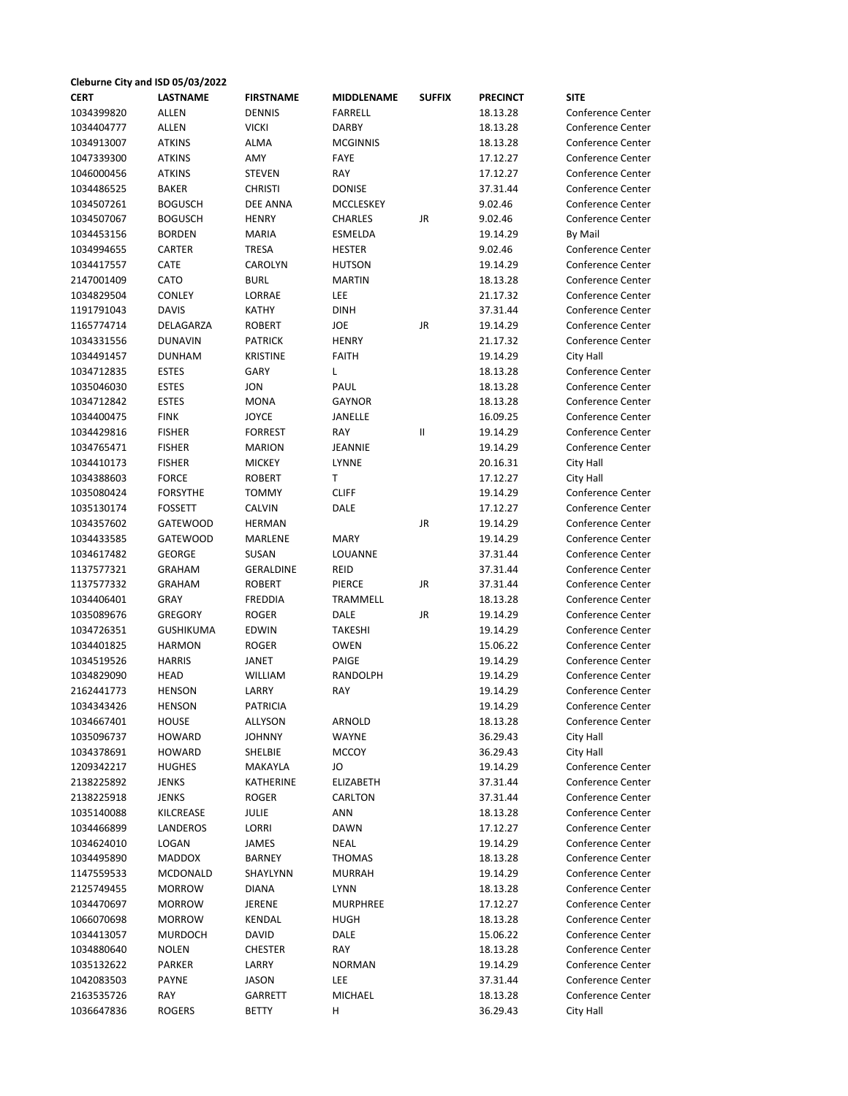| Cleburne City and ISD 05/03/2022 |                  |                  |                   |               |                 |                          |  |  |  |
|----------------------------------|------------------|------------------|-------------------|---------------|-----------------|--------------------------|--|--|--|
| <b>CERT</b>                      | <b>LASTNAME</b>  | <b>FIRSTNAME</b> | <b>MIDDLENAME</b> | <b>SUFFIX</b> | <b>PRECINCT</b> | <b>SITE</b>              |  |  |  |
| 1034399820                       | <b>ALLEN</b>     | <b>DENNIS</b>    | <b>FARRELL</b>    |               | 18.13.28        | <b>Conference Center</b> |  |  |  |
| 1034404777                       | <b>ALLEN</b>     | <b>VICKI</b>     | <b>DARBY</b>      |               | 18.13.28        | <b>Conference Center</b> |  |  |  |
| 1034913007                       | <b>ATKINS</b>    | <b>ALMA</b>      | <b>MCGINNIS</b>   |               | 18.13.28        | <b>Conference Center</b> |  |  |  |
| 1047339300                       | <b>ATKINS</b>    | AMY              | FAYE              |               | 17.12.27        | <b>Conference Center</b> |  |  |  |
| 1046000456                       | <b>ATKINS</b>    | <b>STEVEN</b>    | RAY               |               | 17.12.27        | <b>Conference Center</b> |  |  |  |
| 1034486525                       | <b>BAKER</b>     | <b>CHRISTI</b>   | <b>DONISE</b>     |               | 37.31.44        | <b>Conference Center</b> |  |  |  |
| 1034507261                       | <b>BOGUSCH</b>   | <b>DEE ANNA</b>  | <b>MCCLESKEY</b>  |               | 9.02.46         | <b>Conference Center</b> |  |  |  |
| 1034507067                       | <b>BOGUSCH</b>   | <b>HENRY</b>     | CHARLES           | JR            | 9.02.46         | <b>Conference Center</b> |  |  |  |
| 1034453156                       | <b>BORDEN</b>    | <b>MARIA</b>     | ESMELDA           |               | 19.14.29        | By Mail                  |  |  |  |
| 1034994655                       | CARTER           | <b>TRESA</b>     | <b>HESTER</b>     |               | 9.02.46         | Conference Center        |  |  |  |
| 1034417557                       | CATE             | CAROLYN          | <b>HUTSON</b>     |               | 19.14.29        | <b>Conference Center</b> |  |  |  |
| 2147001409                       | CATO             | <b>BURL</b>      | <b>MARTIN</b>     |               | 18.13.28        | Conference Center        |  |  |  |
| 1034829504                       | <b>CONLEY</b>    | LORRAE           | LEE               |               | 21.17.32        | <b>Conference Center</b> |  |  |  |
| 1191791043                       | <b>DAVIS</b>     | <b>KATHY</b>     | <b>DINH</b>       |               | 37.31.44        | <b>Conference Center</b> |  |  |  |
| 1165774714                       | DELAGARZA        | <b>ROBERT</b>    | JOE               | JR            | 19.14.29        | Conference Center        |  |  |  |
| 1034331556                       | <b>DUNAVIN</b>   | <b>PATRICK</b>   | <b>HENRY</b>      |               | 21.17.32        | <b>Conference Center</b> |  |  |  |
| 1034491457                       | <b>DUNHAM</b>    | <b>KRISTINE</b>  | <b>FAITH</b>      |               | 19.14.29        | City Hall                |  |  |  |
| 1034712835                       | <b>ESTES</b>     | <b>GARY</b>      | L                 |               | 18.13.28        | Conference Center        |  |  |  |
| 1035046030                       | <b>ESTES</b>     | <b>JON</b>       | PAUL              |               | 18.13.28        | <b>Conference Center</b> |  |  |  |
| 1034712842                       | <b>ESTES</b>     | <b>MONA</b>      | <b>GAYNOR</b>     |               | 18.13.28        | <b>Conference Center</b> |  |  |  |
| 1034400475                       | <b>FINK</b>      | <b>JOYCE</b>     | JANELLE           |               | 16.09.25        | <b>Conference Center</b> |  |  |  |
| 1034429816                       | <b>FISHER</b>    | <b>FORREST</b>   | RAY               | $\mathbf{II}$ | 19.14.29        | Conference Center        |  |  |  |
| 1034765471                       | <b>FISHER</b>    | <b>MARION</b>    | JEANNIE           |               | 19.14.29        | <b>Conference Center</b> |  |  |  |
| 1034410173                       | <b>FISHER</b>    | <b>MICKEY</b>    | LYNNE             |               | 20.16.31        | City Hall                |  |  |  |
| 1034388603                       | <b>FORCE</b>     | <b>ROBERT</b>    | T.                |               | 17.12.27        | City Hall                |  |  |  |
| 1035080424                       | <b>FORSYTHE</b>  | <b>TOMMY</b>     | <b>CLIFF</b>      |               | 19.14.29        | <b>Conference Center</b> |  |  |  |
| 1035130174                       | <b>FOSSETT</b>   | CALVIN           | DALE              |               | 17.12.27        | Conference Center        |  |  |  |
| 1034357602                       | <b>GATEWOOD</b>  | <b>HERMAN</b>    |                   | JR            | 19.14.29        | <b>Conference Center</b> |  |  |  |
| 1034433585                       | <b>GATEWOOD</b>  | MARLENE          | <b>MARY</b>       |               | 19.14.29        | <b>Conference Center</b> |  |  |  |
| 1034617482                       | <b>GEORGE</b>    | SUSAN            | LOUANNE           |               | 37.31.44        | <b>Conference Center</b> |  |  |  |
| 1137577321                       | <b>GRAHAM</b>    | <b>GERALDINE</b> | REID              |               | 37.31.44        | <b>Conference Center</b> |  |  |  |
| 1137577332                       | <b>GRAHAM</b>    | <b>ROBERT</b>    | PIERCE            | JR            | 37.31.44        | <b>Conference Center</b> |  |  |  |
| 1034406401                       | <b>GRAY</b>      | <b>FREDDIA</b>   | TRAMMELL          |               | 18.13.28        | <b>Conference Center</b> |  |  |  |
| 1035089676                       | <b>GREGORY</b>   | <b>ROGER</b>     | <b>DALE</b>       | JR            | 19.14.29        | <b>Conference Center</b> |  |  |  |
| 1034726351                       | <b>GUSHIKUMA</b> | <b>EDWIN</b>     | TAKESHI           |               | 19.14.29        | <b>Conference Center</b> |  |  |  |
| 1034401825                       | <b>HARMON</b>    | <b>ROGER</b>     | <b>OWEN</b>       |               | 15.06.22        | Conference Center        |  |  |  |
| 1034519526                       | <b>HARRIS</b>    | <b>JANET</b>     | PAIGE             |               | 19.14.29        | Conference Center        |  |  |  |
| 1034829090                       | <b>HEAD</b>      | <b>WILLIAM</b>   | RANDOLPH          |               | 19.14.29        | <b>Conference Center</b> |  |  |  |
| 2162441773                       | <b>HENSON</b>    | LARRY            | RAY               |               | 19.14.29        | Conference Center        |  |  |  |
| 1034343426                       | <b>HENSON</b>    | <b>PATRICIA</b>  |                   |               | 19.14.29        | Conference Center        |  |  |  |
| 1034667401                       | HOUSE            | ALLYSON          | ARNOLD            |               | 18.13.28        | <b>Conference Center</b> |  |  |  |
| 1035096737                       | HOWARD           | <b>JOHNNY</b>    | <b>WAYNE</b>      |               | 36.29.43        | City Hall                |  |  |  |
| 1034378691                       | HOWARD           | SHELBIE          | MCCOY             |               | 36.29.43        | City Hall                |  |  |  |
| 1209342217                       | <b>HUGHES</b>    | MAKAYLA          | JO                |               | 19.14.29        | Conference Center        |  |  |  |
| 2138225892                       | <b>JENKS</b>     | KATHERINE        | ELIZABETH         |               | 37.31.44        | <b>Conference Center</b> |  |  |  |
| 2138225918                       | JENKS            | <b>ROGER</b>     | CARLTON           |               | 37.31.44        | <b>Conference Center</b> |  |  |  |
| 1035140088                       | KILCREASE        | JULIE            | ANN               |               | 18.13.28        | <b>Conference Center</b> |  |  |  |
| 1034466899                       | LANDEROS         | LORRI            | <b>DAWN</b>       |               | 17.12.27        | <b>Conference Center</b> |  |  |  |
| 1034624010                       | LOGAN            | JAMES            | <b>NEAL</b>       |               | 19.14.29        | <b>Conference Center</b> |  |  |  |
| 1034495890                       | MADDOX           | BARNEY           | THOMAS            |               | 18.13.28        | <b>Conference Center</b> |  |  |  |
| 1147559533                       | MCDONALD         | SHAYLYNN         | MURRAH            |               | 19.14.29        | <b>Conference Center</b> |  |  |  |
| 2125749455                       | <b>MORROW</b>    | DIANA            | LYNN              |               | 18.13.28        | <b>Conference Center</b> |  |  |  |
| 1034470697                       | <b>MORROW</b>    | JERENE           | MURPHREE          |               | 17.12.27        | <b>Conference Center</b> |  |  |  |
| 1066070698                       | <b>MORROW</b>    | KENDAL           | HUGH              |               | 18.13.28        | <b>Conference Center</b> |  |  |  |
| 1034413057                       | <b>MURDOCH</b>   | <b>DAVID</b>     | DALE              |               | 15.06.22        | <b>Conference Center</b> |  |  |  |
| 1034880640                       | NOLEN            | <b>CHESTER</b>   | RAY               |               | 18.13.28        | <b>Conference Center</b> |  |  |  |
| 1035132622                       | PARKER           | LARRY            | <b>NORMAN</b>     |               | 19.14.29        | <b>Conference Center</b> |  |  |  |
| 1042083503                       | PAYNE            | <b>JASON</b>     | LEE               |               | 37.31.44        | <b>Conference Center</b> |  |  |  |
| 2163535726                       | RAY              | GARRETT          | MICHAEL           |               | 18.13.28        | Conference Center        |  |  |  |
| 1036647836                       | <b>ROGERS</b>    | <b>BETTY</b>     | н                 |               | 36.29.43        | City Hall                |  |  |  |